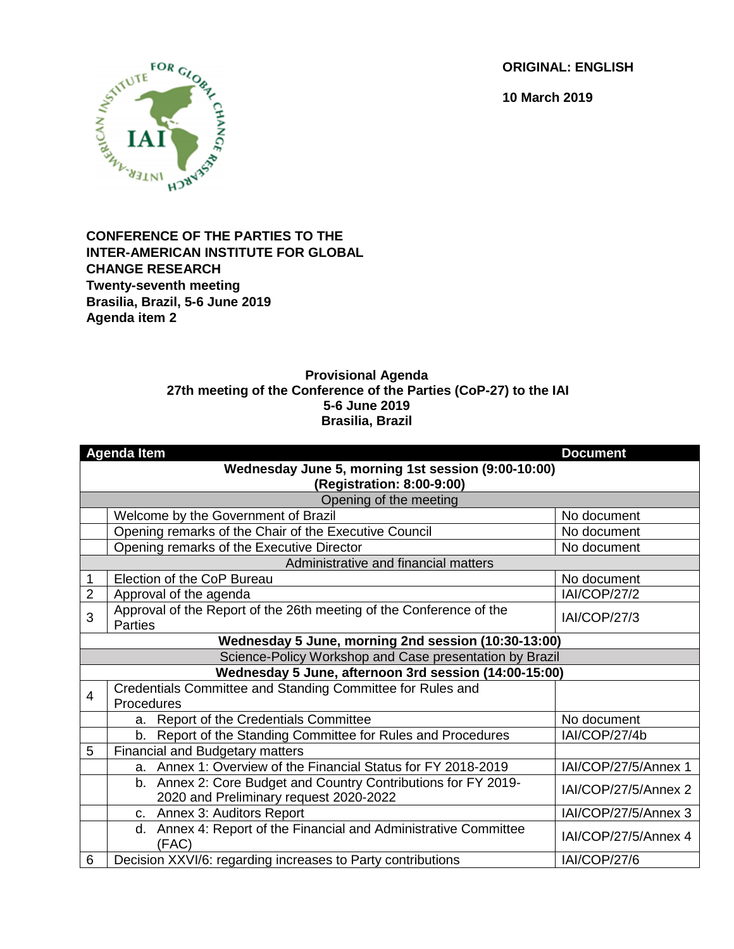**ORIGINAL: ENGLISH**

**10 March 2019**



## **CONFERENCE OF THE PARTIES TO THE INTER-AMERICAN INSTITUTE FOR GLOBAL CHANGE RESEARCH Twenty-seventh meeting Brasilia, Brazil, 5-6 June 2019 Agenda item 2**

## **Provisional Agenda 27th meeting of the Conference of the Parties (CoP-27) to the IAI 5-6 June 2019 Brasilia, Brazil**

|                                                                                 | <b>Agenda Item</b>                                                                                       | <b>Document</b>      |  |  |
|---------------------------------------------------------------------------------|----------------------------------------------------------------------------------------------------------|----------------------|--|--|
| Wednesday June 5, morning 1st session (9:00-10:00)<br>(Registration: 8:00-9:00) |                                                                                                          |                      |  |  |
| Opening of the meeting                                                          |                                                                                                          |                      |  |  |
|                                                                                 | Welcome by the Government of Brazil                                                                      | No document          |  |  |
|                                                                                 | Opening remarks of the Chair of the Executive Council                                                    | No document          |  |  |
|                                                                                 | Opening remarks of the Executive Director                                                                | No document          |  |  |
| Administrative and financial matters                                            |                                                                                                          |                      |  |  |
|                                                                                 | Election of the CoP Bureau                                                                               | No document          |  |  |
| $\overline{2}$                                                                  | Approval of the agenda                                                                                   | <b>IAI/COP/27/2</b>  |  |  |
| 3                                                                               | Approval of the Report of the 26th meeting of the Conference of the<br><b>Parties</b>                    | <b>IAI/COP/27/3</b>  |  |  |
|                                                                                 | Wednesday 5 June, morning 2nd session (10:30-13:00)                                                      |                      |  |  |
| Science-Policy Workshop and Case presentation by Brazil                         |                                                                                                          |                      |  |  |
|                                                                                 | Wednesday 5 June, afternoon 3rd session (14:00-15:00)                                                    |                      |  |  |
| 4                                                                               | Credentials Committee and Standing Committee for Rules and                                               |                      |  |  |
|                                                                                 | Procedures                                                                                               |                      |  |  |
|                                                                                 | a. Report of the Credentials Committee                                                                   | No document          |  |  |
|                                                                                 | b. Report of the Standing Committee for Rules and Procedures                                             | IAI/COP/27/4b        |  |  |
| 5                                                                               | <b>Financial and Budgetary matters</b>                                                                   |                      |  |  |
|                                                                                 | a. Annex 1: Overview of the Financial Status for FY 2018-2019                                            | IAI/COP/27/5/Annex 1 |  |  |
|                                                                                 | b. Annex 2: Core Budget and Country Contributions for FY 2019-<br>2020 and Preliminary request 2020-2022 | IAI/COP/27/5/Annex 2 |  |  |
|                                                                                 | c. Annex 3: Auditors Report                                                                              | IAI/COP/27/5/Annex 3 |  |  |
|                                                                                 | d. Annex 4: Report of the Financial and Administrative Committee<br>(FAC)                                | IAI/COP/27/5/Annex 4 |  |  |
| 6                                                                               | Decision XXVI/6: regarding increases to Party contributions                                              | <b>IAI/COP/27/6</b>  |  |  |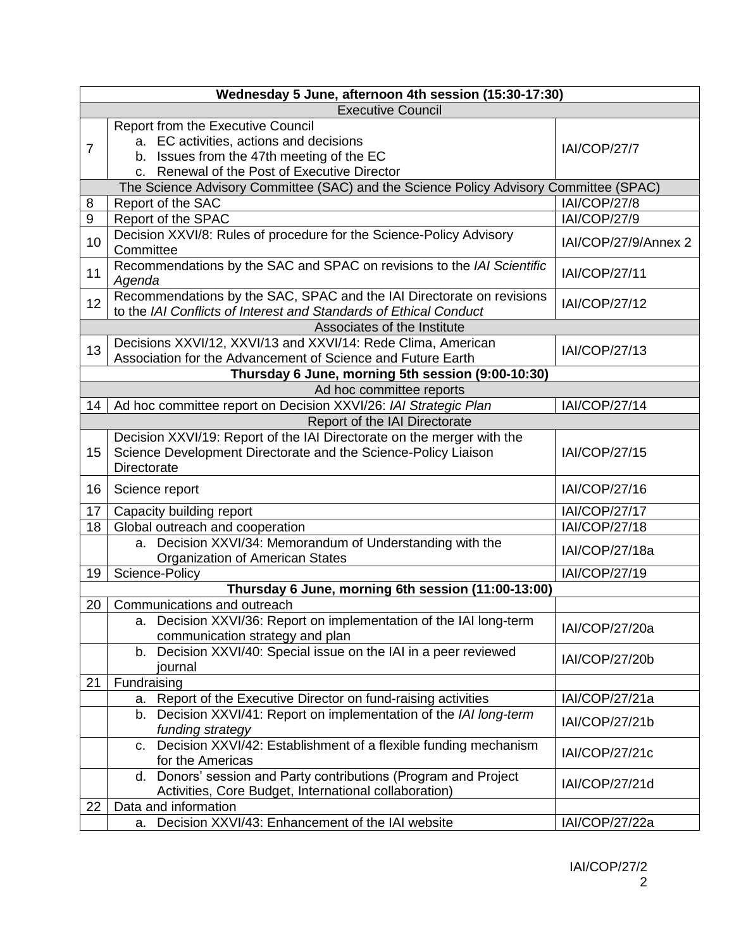| Wednesday 5 June, afternoon 4th session (15:30-17:30) |                                                                                                                                                                           |                      |  |  |
|-------------------------------------------------------|---------------------------------------------------------------------------------------------------------------------------------------------------------------------------|----------------------|--|--|
| <b>Executive Council</b>                              |                                                                                                                                                                           |                      |  |  |
| $\overline{7}$                                        | Report from the Executive Council<br>a. EC activities, actions and decisions<br>b. Issues from the 47th meeting of the EC<br>c. Renewal of the Post of Executive Director | <b>IAI/COP/27/7</b>  |  |  |
|                                                       | The Science Advisory Committee (SAC) and the Science Policy Advisory Committee (SPAC)                                                                                     |                      |  |  |
| 8                                                     | Report of the SAC                                                                                                                                                         | <b>IAI/COP/27/8</b>  |  |  |
| 9                                                     | Report of the SPAC                                                                                                                                                        | <b>IAI/COP/27/9</b>  |  |  |
| 10                                                    | Decision XXVI/8: Rules of procedure for the Science-Policy Advisory<br>Committee                                                                                          | IAI/COP/27/9/Annex 2 |  |  |
| 11                                                    | Recommendations by the SAC and SPAC on revisions to the IAI Scientific<br>Agenda                                                                                          | <b>IAI/COP/27/11</b> |  |  |
| 12                                                    | Recommendations by the SAC, SPAC and the IAI Directorate on revisions<br>to the IAI Conflicts of Interest and Standards of Ethical Conduct                                | <b>IAI/COP/27/12</b> |  |  |
|                                                       | Associates of the Institute                                                                                                                                               |                      |  |  |
| 13                                                    | Decisions XXVI/12, XXVI/13 and XXVI/14: Rede Clima, American<br>Association for the Advancement of Science and Future Earth                                               | <b>IAI/COP/27/13</b> |  |  |
|                                                       | Thursday 6 June, morning 5th session (9:00-10:30)                                                                                                                         |                      |  |  |
|                                                       | Ad hoc committee reports                                                                                                                                                  |                      |  |  |
| 14                                                    | Ad hoc committee report on Decision XXVI/26: IAI Strategic Plan                                                                                                           | <b>IAI/COP/27/14</b> |  |  |
|                                                       | Report of the IAI Directorate                                                                                                                                             |                      |  |  |
| 15                                                    | Decision XXVI/19: Report of the IAI Directorate on the merger with the<br>Science Development Directorate and the Science-Policy Liaison<br>Directorate                   | <b>IAI/COP/27/15</b> |  |  |
| 16                                                    | Science report                                                                                                                                                            | IAI/COP/27/16        |  |  |
| 17                                                    | Capacity building report                                                                                                                                                  | <b>IAI/COP/27/17</b> |  |  |
| 18                                                    | Global outreach and cooperation                                                                                                                                           | <b>IAI/COP/27/18</b> |  |  |
|                                                       | a. Decision XXVI/34: Memorandum of Understanding with the<br>Organization of American States                                                                              | IAI/COP/27/18a       |  |  |
| 19                                                    | Science-Policy                                                                                                                                                            | IAI/COP/27/19        |  |  |
|                                                       | Thursday 6 June, morning 6th session (11:00-13:00)                                                                                                                        |                      |  |  |
| 20                                                    | Communications and outreach                                                                                                                                               |                      |  |  |
|                                                       | a. Decision XXVI/36: Report on implementation of the IAI long-term<br>communication strategy and plan                                                                     | IAI/COP/27/20a       |  |  |
|                                                       | b. Decision XXVI/40: Special issue on the IAI in a peer reviewed<br>journal                                                                                               | IAI/COP/27/20b       |  |  |
| 21                                                    | Fundraising                                                                                                                                                               |                      |  |  |
|                                                       | a. Report of the Executive Director on fund-raising activities                                                                                                            | IAI/COP/27/21a       |  |  |
|                                                       | b. Decision XXVI/41: Report on implementation of the IAI long-term<br>funding strategy                                                                                    | IAI/COP/27/21b       |  |  |
|                                                       | c. Decision XXVI/42: Establishment of a flexible funding mechanism<br>for the Americas                                                                                    | IAI/COP/27/21c       |  |  |
|                                                       | d. Donors' session and Party contributions (Program and Project<br>Activities, Core Budget, International collaboration)                                                  | IAI/COP/27/21d       |  |  |
| 22                                                    | Data and information                                                                                                                                                      |                      |  |  |
|                                                       | Decision XXVI/43: Enhancement of the IAI website<br>а.                                                                                                                    | IAI/COP/27/22a       |  |  |